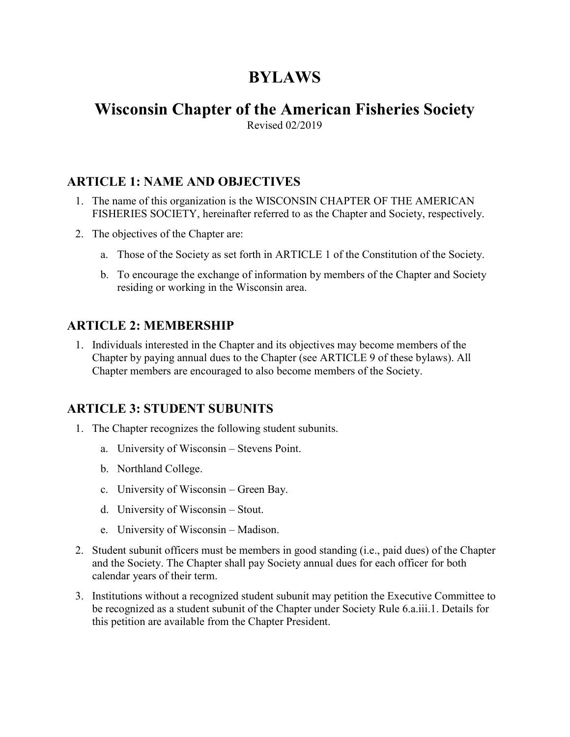# BYLAWS

# Wisconsin Chapter of the American Fisheries Society

Revised 02/2019

## ARTICLE 1: NAME AND OBJECTIVES

- 1. The name of this organization is the WISCONSIN CHAPTER OF THE AMERICAN FISHERIES SOCIETY, hereinafter referred to as the Chapter and Society, respectively.
- 2. The objectives of the Chapter are:
	- a. Those of the Society as set forth in ARTICLE 1 of the Constitution of the Society.
	- b. To encourage the exchange of information by members of the Chapter and Society residing or working in the Wisconsin area.

#### ARTICLE 2: MEMBERSHIP

1. Individuals interested in the Chapter and its objectives may become members of the Chapter by paying annual dues to the Chapter (see ARTICLE 9 of these bylaws). All Chapter members are encouraged to also become members of the Society.

#### ARTICLE 3: STUDENT SUBUNITS

- 1. The Chapter recognizes the following student subunits.
	- a. University of Wisconsin Stevens Point.
	- b. Northland College.
	- c. University of Wisconsin Green Bay.
	- d. University of Wisconsin Stout.
	- e. University of Wisconsin Madison.
- 2. Student subunit officers must be members in good standing (i.e., paid dues) of the Chapter and the Society. The Chapter shall pay Society annual dues for each officer for both calendar years of their term.
- 3. Institutions without a recognized student subunit may petition the Executive Committee to be recognized as a student subunit of the Chapter under Society Rule 6.a.iii.1. Details for this petition are available from the Chapter President.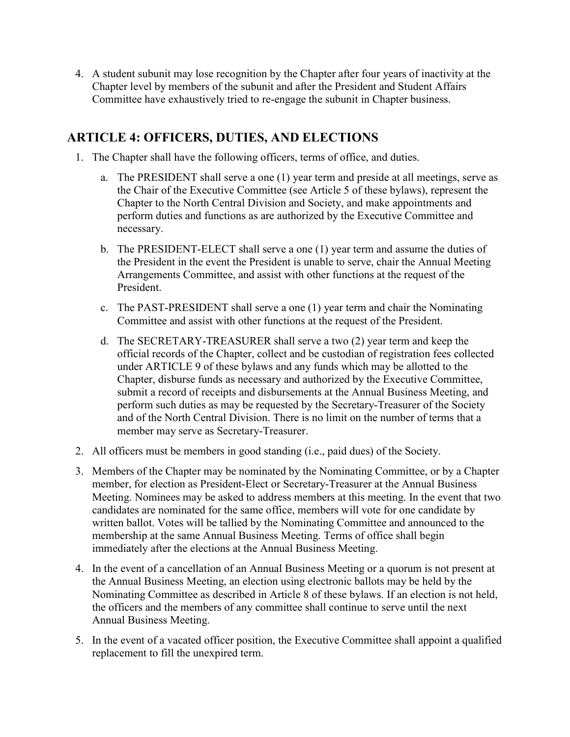4. A student subunit may lose recognition by the Chapter after four years of inactivity at the Chapter level by members of the subunit and after the President and Student Affairs Committee have exhaustively tried to re-engage the subunit in Chapter business.

## ARTICLE 4: OFFICERS, DUTIES, AND ELECTIONS

- 1. The Chapter shall have the following officers, terms of office, and duties.
	- a. The PRESIDENT shall serve a one (1) year term and preside at all meetings, serve as the Chair of the Executive Committee (see Article 5 of these bylaws), represent the Chapter to the North Central Division and Society, and make appointments and perform duties and functions as are authorized by the Executive Committee and necessary.
	- b. The PRESIDENT-ELECT shall serve a one (1) year term and assume the duties of the President in the event the President is unable to serve, chair the Annual Meeting Arrangements Committee, and assist with other functions at the request of the President.
	- c. The PAST-PRESIDENT shall serve a one (1) year term and chair the Nominating Committee and assist with other functions at the request of the President.
	- d. The SECRETARY-TREASURER shall serve a two (2) year term and keep the official records of the Chapter, collect and be custodian of registration fees collected under ARTICLE 9 of these bylaws and any funds which may be allotted to the Chapter, disburse funds as necessary and authorized by the Executive Committee, submit a record of receipts and disbursements at the Annual Business Meeting, and perform such duties as may be requested by the Secretary-Treasurer of the Society and of the North Central Division. There is no limit on the number of terms that a member may serve as Secretary-Treasurer.
- 2. All officers must be members in good standing (i.e., paid dues) of the Society.
- 3. Members of the Chapter may be nominated by the Nominating Committee, or by a Chapter member, for election as President-Elect or Secretary-Treasurer at the Annual Business Meeting. Nominees may be asked to address members at this meeting. In the event that two candidates are nominated for the same office, members will vote for one candidate by written ballot. Votes will be tallied by the Nominating Committee and announced to the membership at the same Annual Business Meeting. Terms of office shall begin immediately after the elections at the Annual Business Meeting.
- 4. In the event of a cancellation of an Annual Business Meeting or a quorum is not present at the Annual Business Meeting, an election using electronic ballots may be held by the Nominating Committee as described in Article 8 of these bylaws. If an election is not held, the officers and the members of any committee shall continue to serve until the next Annual Business Meeting.
- 5. In the event of a vacated officer position, the Executive Committee shall appoint a qualified replacement to fill the unexpired term.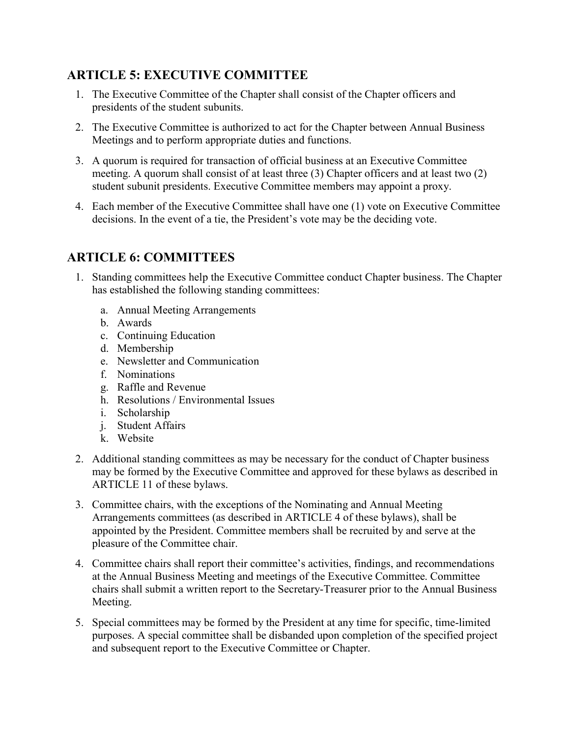## ARTICLE 5: EXECUTIVE COMMITTEE

- 1. The Executive Committee of the Chapter shall consist of the Chapter officers and presidents of the student subunits.
- 2. The Executive Committee is authorized to act for the Chapter between Annual Business Meetings and to perform appropriate duties and functions.
- 3. A quorum is required for transaction of official business at an Executive Committee meeting. A quorum shall consist of at least three (3) Chapter officers and at least two (2) student subunit presidents. Executive Committee members may appoint a proxy.
- 4. Each member of the Executive Committee shall have one (1) vote on Executive Committee decisions. In the event of a tie, the President's vote may be the deciding vote.

## ARTICLE 6: COMMITTEES

- 1. Standing committees help the Executive Committee conduct Chapter business. The Chapter has established the following standing committees:
	- a. Annual Meeting Arrangements
	- b. Awards
	- c. Continuing Education
	- d. Membership
	- e. Newsletter and Communication
	- f. Nominations
	- g. Raffle and Revenue
	- h. Resolutions / Environmental Issues
	- i. Scholarship
	- j. Student Affairs
	- k. Website
- 2. Additional standing committees as may be necessary for the conduct of Chapter business may be formed by the Executive Committee and approved for these bylaws as described in ARTICLE 11 of these bylaws.
- 3. Committee chairs, with the exceptions of the Nominating and Annual Meeting Arrangements committees (as described in ARTICLE 4 of these bylaws), shall be appointed by the President. Committee members shall be recruited by and serve at the pleasure of the Committee chair.
- 4. Committee chairs shall report their committee's activities, findings, and recommendations at the Annual Business Meeting and meetings of the Executive Committee. Committee chairs shall submit a written report to the Secretary-Treasurer prior to the Annual Business Meeting.
- 5. Special committees may be formed by the President at any time for specific, time-limited purposes. A special committee shall be disbanded upon completion of the specified project and subsequent report to the Executive Committee or Chapter.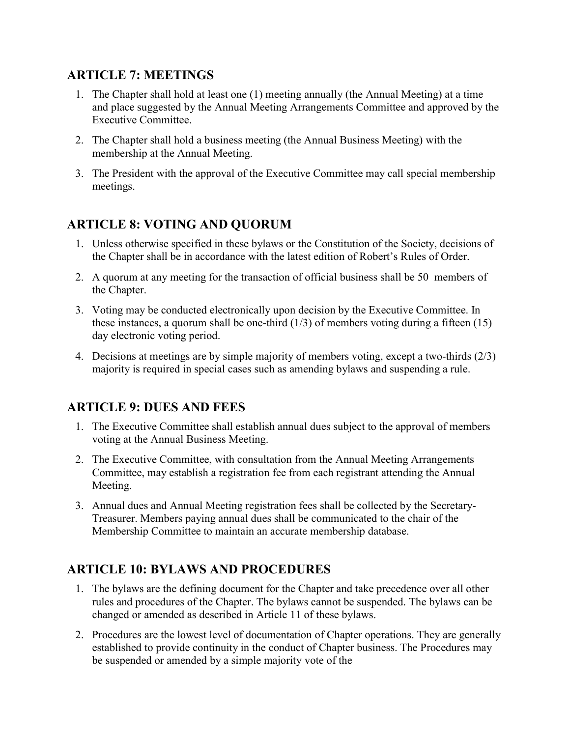#### ARTICLE 7: MEETINGS

- 1. The Chapter shall hold at least one (1) meeting annually (the Annual Meeting) at a time and place suggested by the Annual Meeting Arrangements Committee and approved by the Executive Committee.
- 2. The Chapter shall hold a business meeting (the Annual Business Meeting) with the membership at the Annual Meeting.
- 3. The President with the approval of the Executive Committee may call special membership meetings.

## ARTICLE 8: VOTING AND QUORUM

- 1. Unless otherwise specified in these bylaws or the Constitution of the Society, decisions of the Chapter shall be in accordance with the latest edition of Robert's Rules of Order.
- 2. A quorum at any meeting for the transaction of official business shall be 50 members of the Chapter.
- 3. Voting may be conducted electronically upon decision by the Executive Committee. In these instances, a quorum shall be one-third  $(1/3)$  of members voting during a fifteen  $(15)$ day electronic voting period.
- 4. Decisions at meetings are by simple majority of members voting, except a two-thirds (2/3) majority is required in special cases such as amending bylaws and suspending a rule.

#### ARTICLE 9: DUES AND FEES

- 1. The Executive Committee shall establish annual dues subject to the approval of members voting at the Annual Business Meeting.
- 2. The Executive Committee, with consultation from the Annual Meeting Arrangements Committee, may establish a registration fee from each registrant attending the Annual Meeting.
- 3. Annual dues and Annual Meeting registration fees shall be collected by the Secretary-Treasurer. Members paying annual dues shall be communicated to the chair of the Membership Committee to maintain an accurate membership database.

## ARTICLE 10: BYLAWS AND PROCEDURES

- 1. The bylaws are the defining document for the Chapter and take precedence over all other rules and procedures of the Chapter. The bylaws cannot be suspended. The bylaws can be changed or amended as described in Article 11 of these bylaws.
- 2. Procedures are the lowest level of documentation of Chapter operations. They are generally established to provide continuity in the conduct of Chapter business. The Procedures may be suspended or amended by a simple majority vote of the